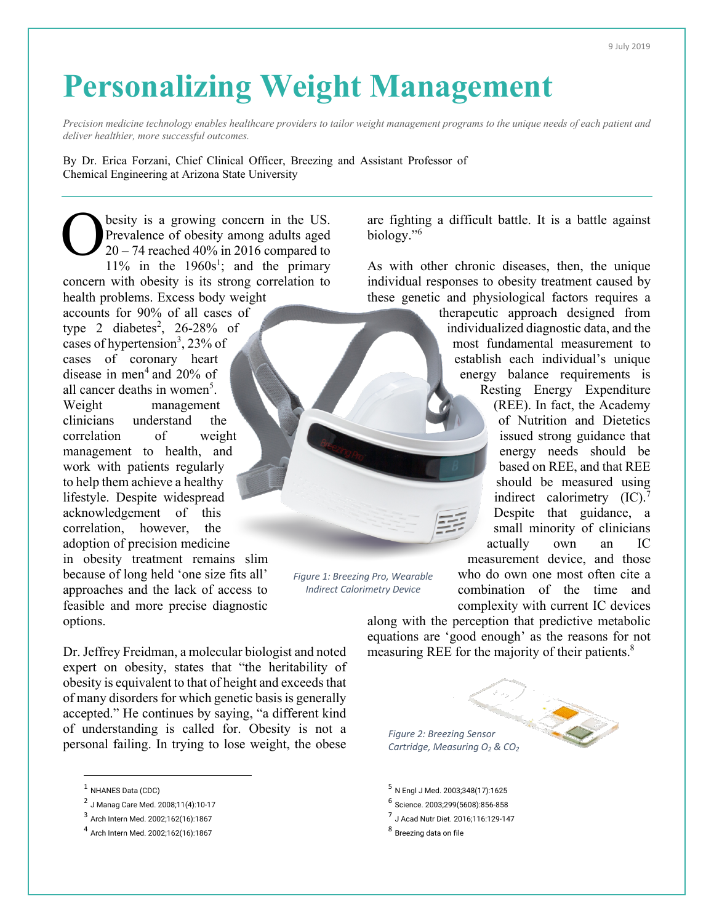## **Personalizing Weight Management**

*Precision medicine technology enables healthcare providers to tailor weight management programs to the unique needs of each patient and deliver healthier, more successful outcomes.*

By Dr. Erica Forzani, Chief Clinical Officer, Breezing and Assistant Professor of Chemical Engineering at Arizona State University

besity is a growing concern in the US. Prevalence of obesity among adults aged  $20 - 74$  reached 40% in 2016 compared to 11% in the  $1960s^1$ ; and the primary concern with obesity is its strong correlation to health problems. Excess body weight accounts for 90% of all cases of type 2 diabetes<sup>2</sup>, 26-28% of cases of hypertension<sup>3</sup>, 23% of cases of coronary heart disease in men<sup>4</sup> and  $20\%$  of all cancer deaths in women<sup>5</sup>. Weight management clinicians understand the correlation of weight management to health, and work with patients regularly to help them achieve a healthy lifestyle. Despite widespread acknowledgement of this correlation, however, the adoption of precision medicine in obesity treatment remains slim because of long held 'one size fits all' approaches and the lack of access to feasible and more precise diagnostic options. O *Figure 1: Breezing Pro, Wearable Indirect Calorimetry Device*

Dr. Jeffrey Freidman, a molecular biologist and noted expert on obesity, states that "the heritability of obesity is equivalent to that of height and exceeds that of many disorders for which genetic basis is generally accepted." He continues by saying, "a different kind of understanding is called for. Obesity is not a personal failing. In trying to lose weight, the obese

are fighting a difficult battle. It is a battle against biology."<sup>6</sup>

As with other chronic diseases, then, the unique individual responses to obesity treatment caused by these genetic and physiological factors requires a

> therapeutic approach designed from individualized diagnostic data, and the most fundamental measurement to establish each individual's unique energy balance requirements is Resting Energy Expenditure

(REE). In fact, the Academy of Nutrition and Dietetics issued strong guidance that energy needs should be based on REE, and that REE should be measured using indirect calorimetry  $(IC).<sup>7</sup>$ Despite that guidance, a small minority of clinicians actually own an IC

measurement device, and those who do own one most often cite a combination of the time and complexity with current IC devices

along with the perception that predictive metabolic equations are 'good enough' as the reasons for not measuring REE for the majority of their patients.<sup>8</sup>



<sup>5</sup> N Engl J Med. 2003;348(17):1625

<sup>7</sup> J Acad Nutr Diet. 2016;116:129-147

<sup>&</sup>lt;sup>1</sup> NHANES Data (CDC)

<sup>2</sup> J Manag Care Med. 2008;11(4):10-17

<sup>3</sup> Arch Intern Med. 2002;162(16):1867

<sup>4</sup> Arch Intern Med. 2002;162(16):1867

<sup>6</sup> Science. 2003;299(5608):856-858

<sup>8</sup> Breezing data on file